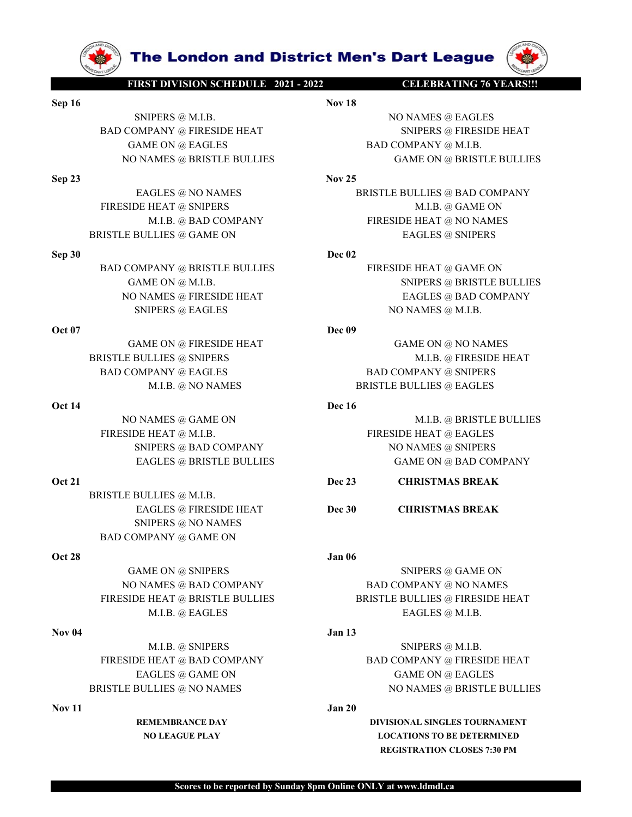

BRISTLE BULLIES @ M.I.B. SNIPERS @ NO NAMES BAD COMPANY @ GAME ON

BAD COMPANY @ EAGLES<br> **OCCUPATE MULTIS ON ANDER SERVICE BUSICAL BRISTLE BULLIES<br>
NOVAMES @ GAME ON<br>
NOVAMES @ GAME ON<br>
FIRESIDE HEAT @ M.I.B.<br>
NORMES @ GAME ON ANDERS<br>
TREES END COMPANY<br>
TAGLES & FIRESIDE HEAT @ BRISTLE B** FIRESIDE HEAT ENGLES @ GAME ON @ SHIPERS @ BAD COMPANY<br>
FIRESIDE HEAT @ BAD COMPANY **Dec 23**<br>
ENGLES @ BRISTLE BULLIES<br>
BAD COMPANY **Dec 23**<br>
ENGLES @ BRISTLE BULLIES<br>
BAD COMPANY @ GAME ON @ SUPERS @ NO NAMES @ BAD COMPAN FIRESIDE HEAT @ NAME @ SINET BULLIES BULLIES BULLIES BULLIES BULLIES BULLIES BULLIES BULLIES BULLIES BULLIES SCALE BULLIES BULLIES BULLIES BULLIES BULLIES BULLIES BULLIES BULLIES BULLIES BULLIES BULLIES BULLIES BURENT BULL SNIPERS @ BAD COMPANY<br>
Det 21<br>
Det 21<br>
BRISTLE BULLIES © FRISTILE BULLIES<br>
DET EAGLES © FRESIDE HEAT<br>
DET EAGLES © FRESIDE HEAT<br>
SNIPERS © NO NAMES<br>
DATE ON AMES<br>
DET EAGLES ON ARREST DET DE 30<br>
COMPANY © CAMES<br>
ON ARREST

**The London and District Men's Dart League (First DIVISION SCHEDULE 2021 - 2022** CELEBRATING 76 YEARS!!!<br>
Nov 18<br>
SNIPERS @ M.I.B. NO NAMES @ EAGLES<br>
COMPANY @ FIRESIDE HEAT SAD COMPANY @ M.I.B.<br>
GAME ON @ EAGLES BAD COMPA **Sep 16**<br> **SEP 16**<br> **SEP 16**<br> **SEP 16**<br> **SEP 16**<br> **SEP 16**<br> **SEP 16**<br> **SEP 16**<br> **SEP 16**<br> **SEP 16**<br> **SEP 16**<br> **SEP 16**<br> **SEP 16**<br> **SEP 16**<br> **SEP 16**<br> **SEP 16**<br> **SEP 16**<br> **SEP 16**<br> **SEP 16**<br> **SEP 16**<br> **SEP 16**<br> **SEP 16**<br> **S The London and District Men's Dart League (NAMES WAREST DIVISION SCHEDULE 2021-2022**<br>
NO NAMES @ EAGLES<br>
NO NAMES @ EAGLES<br>
NO NAMES @ ERESIDE HEAT<br>
AME ON @ EAGLES<br>
NAMES @ BRISTLE BULLIES<br>
NAMES @ BRISTLE BULLIES<br>
Nov 2 **EXERCISE THE LONGON SCHEDULE 2021-2022**<br> **BAD COMPANY @ FIRESIDE HEAT**<br>
BAD COMPANY @ FIRESIDE HEAT<br>
SNIPERS @ M.I.B.<br>
BAD COMPANY @ FIRESIDE HEAT<br>
SNIPERS @ FIRESIDE HEAT<br>
SNIPERS @ FIRESIDE HEAT<br>
SNIPERS @ FIRESIDE HEAT **The London and District Men's Dart League (W)**<br>
FIRST DIVISIONSCHEDULE 2021-2022<br>
SNIPERS @ M.I.B.<br>
SOMPANY @ FIRESIDE HEAT<br>
GAME ON @ EAGLES<br>
GAME ON @ EAGLES<br>
EAGLES @ NO NAMES<br>
EAGLES @ NO NAMES<br>
EAGLES @ NO NAMES<br>
Nov **The London and District Men's Dart League (W)**<br>
FIRST DIVISION SCHEDULE 2021-2022<br>
SNIPERS @ M.I.B.<br>
SNIPERS @ BRISTLE BULLIES<br>
NO NAMES @ EAGLES<br>
BAD COMPANY @ M.I.B.<br>
NO NAMES @ BRISTLE BULLIES<br>
EAGLES @ NO NAMES<br>
BAD C

**SEP 33**<br>
FRESIDE EATLE SAND COMPANY TRESIDE HEAT THE SAND COMPANY OF EACLES<br>
SEP 23 EAGLES AND COMPANY SERIES SAND COMPANY SAND COMPANY SAND FRESIDE HEAT<br>
FRESIDE HEAT SAND COMPANY SAND COMPANY SAND COMPANY SAND COMPANY S **EXERCISE MORE CONFIDENT AND CONFIDENT CONFIDENT AND CONFIDENT (NOTE ACT AND FACE ON NAMES & EAGLES**<br>
MPANY @ FRESIDE HEAT<br>
MAMES @ BRISTLE BULLIES<br>
EAGLES @ NO NAMES<br>
EAGLES @ NO NAMES<br>
EAGLES @ NO NAMES<br>
EAGLES @ NO NAME **FIRESIDE HEAT @ SNIPERS MALLES @ GAME ON @ BASITLE BULLIES @ GAME ON @ BASITLE BULLIES WANT WERE PROPORATY AND COMPANY WERE ON A SNIPERS GAME ON @ BASITLE BULLIES MALLE ON A STIPERS MALLER CAME ON @ BRISTILE BULLIES MALLE EXERCISE AND SERVE AND SERVE AND SERVE AND SERVE AND SERVE AND SERVE AND SERVE AND SERVE AND SERVE AND SERVE AND SERVE AND SERVE AND SERVE AND SERVE AND SERVE AND SERVE AND SERVE AND SERVE AND SERVE AND SERVE AND SERVE A EXERCISE ON A SUBARRATING AND CONFERSE CONFIRENCE AND CONFINENCE AND CONFINENCE CONFIRENCE BULLIES<br>
BAD COMPANY @ FIRESIDE HEAT<br>
FAGLES @ NO NAMES<br>
FAGLES @ NO NAMES<br>
FAGLES @ NO NAMES<br>
FAGLES @ NO NAMES<br>
FRESIDE HEAT @ S SECOND AND SECULAR SEARCH SECULAR SEARCH SEARCH SEARCH SEARCH SEARCH SEARCH SEARCH SEARCH SEARCH SEARCH SEARCH SEARCH SEARCH SEARCH SEARCH SEARCH SEARCH SEARCH SEARCH SEARCH SEARCH SEARCH SEARCH SEARCH SEARCH SEARCH SEARC EXECUTE IN A COMPANY CONFIDENTIES FIRESIDE HEAT**<br> **BAD COMPANY @ FIRESIDE HEAT**<br>
BAD COMPANY @ FIRESIDE HEAT<br>
GAME ON @ EAGLES<br>
EAGLES @ NO NAMES<br>
EAGLES @ NO NAMES<br>
EAGLES @ NO NAMES<br>
ERESIDE HEAT **ESNIFIE. BULLIES**<br>
M.B **The London and District Men's Dart League (ADAMES)**<br>
SINESIDIVISIONS CHENDER POIRE AND NOVEMBER (SAME ON AN ERESTIGNATION COMPANY CHEAPS COMPANY AND COMPANY CHEAT COMPANY AND ENGLES ON REAGLES (SAME ON @ BRISTLE BULLIES ( **The London and District Men's Dart League (APA)**<br>
Nov 18<br>
SNIPERS @ M.I.B.<br>
SNIPERS @ M.I.B.<br>
NO NAMES @ EAGLES<br>
EAME ON @ FIRESIDE HEAT<br>
NO NAMES @ BRISTLE BULLIES<br>
HAT CAME ON @ BRISTLE BULLIES<br>
EAGLES @ NO NAMES<br>
M.I. **The London and District Men's Dart League (W)**<br>
IRSIDIVISIONSCHEDULE 2022<br>
SNIPERS @ M.I.B.<br>
MPANY @ FIRESIDE HEAT<br>
MAMES @ RAGLES<br>
NAMES @ REGILES<br>
NAMES @ REGILES<br>
NAMES @ REGILES<br>
EAGLES @ NO NAMES<br>
DE MEAT @ SNIPERS<br>

SETTE BULLIES (GAME ON GENETIC BULLIES (GAME ON GENETIC BULLIES (GAME ON GENETIC BULLIES (GAME ON GENETIC BULLIES (GAME ON GENETIC BULLIES (GAME ON GENETIC BULLIES (GAME ON GENETIC BULLIES (GAME ON GENETIC BULLIES (GAME ON **EXERCISE ON ALLER SERVICES AND CONFORMALL CONFORMALL CONFORMALL CONFORMALL CONFORMALL CONFORMALL CONFORMALL CONFORMALL CONFORMALL CONFORMALL CONFORMALL CONFORMALL CONFORMALL CONFORMALL CONFORMALL CONFORMALL CONFORMALL CON**  $\begin{tabular}{l|c|c|c|c|c} \hline & & & & & & & & \hline & & & & \hline & & & & \hline & & & & \hline & & & & \hline & & & & \hline & & & & \hline & & & & \hline & & & & \hline & & & & \hline & & & & \hline & & & & \hline & & & & \hline & & & & \hline & & & & \hline & & & & \hline & & & & \hline & & & & \hline & & & & \hline & & & & \hline & & & & \hline & & & & \hline & & & & \hline & & & & \hline & & & & \hline & & & & \hline & & & & \hline & & & & \h$ SNIPERS @ M.I.B.<br>
BAD CONPANY @ FIRESIDE HEAT<br>
GAME ON @ FRESIDE HEAT<br>
SND COMPANY @ STRESIDE BULLIES<br>
EAGLES @ NO NAMES<br>
ERGES @ NO NAMES<br>
ERGES @ NO NAMES<br>
FIRESIDE HEAT @ SNIPERS<br>
SND COMPANY<br>
M.I.B. @ GAME ON @ BRISTL LIGN BRISTILE BULLIES<br>
MANY @ FIRESIDE HEAT<br>
E ON ® EAGLES<br>
MANY @ FIRESIDE HEAT<br>
E ON ® EAGLES<br>
MANY @ BRISTLE BULLIES<br>
MANY @ BRISTLE BULLIES<br>
MANY @ BRISTLE BULLIES<br>
MANY @ BRISTLE BULLIES<br>
PANY @ BRISTLE BULLIES<br>
DEVAN GAME ON @ EAGLES<br>
Sep 23<br>
ERESIDE HEAT @ NON-MAIS @ ENISTLE BULLIES<br>
Sep 23<br>
ERESIDE HEAT @ SNON-MAIS<br>
ERESIDE HEAT @ SNON AMES<br>
BEISTLE BULLIES @ DAME ON<br>
BEISTLE BULLIES @ DAME ON<br>
BEISTLE BULLIES @ DAME ON<br>
BAD COMPANY NO NAMES @ BRISTLE BULLIES<br>
NO NAMES **EAGLES @ NO NAMES**<br>
M.I.B. @ GAME ON<br>
M.I.B. @ GAME ON<br>
M.I.B. @ GAME ON<br>
M.I.B. @ GAME ON MAMES<br>
E. BULLIES @ BASTLE BULLIES<br>
COMPANY @ BRISTLE BULLIES<br>
COMPANY @ BRISTLE BULLIES<br>
COM FIRESIDE HEAT @ M.I.B. FIRESIDE HEAT @ EAGLES EAGLES @ NO NAMES<br>
MULLIES @ GAD COMPANY MILES. @ GAD COMPANY<br>
MULLIES @ GAD COMPANY FIRESIDE HEAT @ NO NAMES<br>
MEAN @ BAD COMPANY<br>
DEVICE BULLIES<br>
DEVICE BULLIES<br>
DEVICE SOME DATA SOME ON<br>
MAMES @ FIRESIDE HEAT STRIFERS @ ENGLES @ NO NAMES<br>
EXERCIS @ BAD COMPANY<br>
M.I.B. @ BAD COMPANY<br>
M.I.B. @ BAD COMPANY<br>
MERS @ GAME ON<br>
MPANY @ BRISTLE BULLIES<br>
MERS @ FIRESIDE HEAT @ GAME ON @ M.I.B.<br>
SNIFERS @ FIRESIDE HEAT<br>
NAMES @ FIRESIDE HEAT<br>
MAMES M.I.B. @ BAD COMPANY<br>
BRISTLE BULLIES @ GAME ON<br>
BAD COMPANY @ RISTLE BULLIES<br>
Dec 02<br>
BAD COMPANY @ RISTLE BULLIES<br>
CAME ON @ M.I.B.<br>
CAME ON @ M.I.B.<br>
OCT TRESIDE HEAT TO BACK THE SULLIES<br>
OCT TRESIDE HEAT TO BACK THE SU EAGLES @ REAGLES **DECOLUMERER WAREST DECOLUMERED ENGINEERS**<br>
NAMES @ FRESIDE HEAT **DECOLUMERS**<br>
EAGLES @ BAD COMPANY<br>
SNIPERS @ FAGUES<br>
NO NAMES @ M.I.B.<br>
AME ON @ FIRESIDE HEAT<br>
BAD COMPANY @ RAGLES<br>
M.I.B. @ NO NAMES<br>
M NO NAMES @ FRESIDE HEAT<br> **Oct 07**<br>
CAME ON ENTERS @ EAGLES<br>
CAME ON ENERGY BERSIDE HEAT<br>
BEISTLE BULLIES @ SNIPERS<br>
BEISTLE BULLIES @ SNIPERS<br>
DOCTANY @ EAGLES<br>
OLTA<br>
NLB. @ NO NAMES<br>
OCT MLB. @ NO NAMES<br>
OCT MLB. @ NO NA SNIPERS @ EAGLES<br>
CAME ON @ FIRESIDE HEAT<br>
Dec<sup>09</sup><br>
DECOMENT @ SNIPERS<br>
COMENT @ EAGLES<br>
MLB. @ SNIPERS<br>
MLB. @ GAME ON<br>
MLB. @ GAME ON<br>
MLB. @ GAME ON<br>
MLB. @ GAME ON<br>
DECOMENT @ GAME ON<br>
DECOMENT & BAD COMPANY<br>
FIRESIDE COMPANY (GAME ON GAME ON GAME ON GAME ON GAME ON BE CULLES AS SNIPERS MLB. @ FRESIDE HEAT<br>
MLB. @ ROSTILE BULLES BAD COMPANY @ SNIPERS<br>
MLB. @ RASTILE BULLES BAD COMPANY (GAME ON BESTILE BULLES (GAME ON BESTILE BULLES SNIP GAME ON @ FIRESIDE HEAT **GAME ON @ NO NAMES**<br>
M.I.B. @ RSUTERS **BAD COMPANY** @ SINGER HEAT<br>
M.I.B. @ NO NAMES<br>
M.I.B. @ NO NAMES<br>
FIRESIDE HEAT @ JALI, **DEAT AND ARE ALLY AND ARE ALLY AND FIRE BULLIES**<br> **EAGLES PRISTLE BUL** 

ELIES @ NONMES<br>
M.B. @ FIRESDE HEAT<br>
M.B. @ FIRESDE HEAT<br>
M.B. @ SNIPERS<br>
M.I.B. @ SNIPERS<br>
MES @ GAME ON<br>
MES @ GAME ON<br>
Dec 16<br>
M.I.B. @ BRISTLE BULLIES @ FAGLES<br>
CIES @ BRISTLE BULLIES<br>
CIES @ BRISTLE BULLIES<br>
CIES @ BR

M.I.B. @ NO NAMES<br>
MEAT @ MAME ON<br>
MEAT @ MAME ON<br>
HEAT @ MAME ON<br>
THES SO GAME ON<br>
DES & BRISTLE BULLIES<br>
DES & BRISTLE BULLIES<br>
DES & BRISTLE BULLIES<br>
DES & PRISTLE BULLIES<br>
DES & PRISTLE BULLIES<br>
DES & NO NAMES<br>
SNIPERS NAMES @ GAME ON<br>
EREAT @ M.I.B.<br>
SEREAT @ MAJES<br>
SNIPERS @ BAD COMPANY<br>
EAGLES @ HERESIDE HEAT & GAME ON GAMES @ SNIPERS<br>
EAGLES @ M.I.B.<br>
BALLIES @ M.I.B.<br>
SNIPERS @ GAME ON<br>
SNIPERS @ GAME ON<br>
MPANY @ GAME ON<br>
AME ON @ S EAGLES @ BRISTLE BULLIES<br>
BULLIES @ M.I.B.<br>
Dec 33 CHRISTMAS BREAK<br>
SULLIES @ NO NAMES<br>
MPANY @ GAME ON<br>
MAKES @ NO NAMES<br>
MAKES @ NO OMPANY<br>
MAKES @ BAD COMPANY<br>
DANCE DAY @ NAMES<br>
NAMES @ BAD COMPANY<br>
BAD COMPANY @ NO N ULLIES @ M.I.B.<br>
NO CHRISTMAS BREAK<br>
NO CHERSIDE HEAT<br>
NO CHRISTMAS BREAK<br>
NO COMPANY<br>
ME ON @ SNIPERS<br>
MADES (BAD COMPANY<br>
MADES (BAD COMPANY<br>
BAD COMPANY @ NO NAMES<br>
HEAT @ BRISTLE BULLIES<br>
MADES (BAD COMPANY @ FRESIDE H

REGISTRATION CLOSES 7:30 PM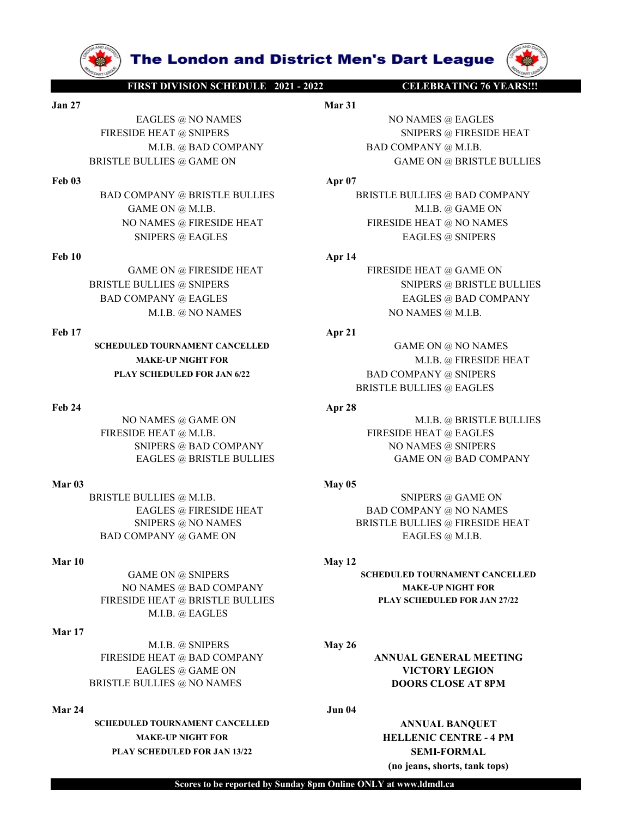

SCHEDULED TOURNAMENT CANCELLED GAME ON @ NO NAMES

M.I.B. @ EAGLES

# Mar 17

M.I.B. @ SNIPERS **May 26** FIRESIDE HEAT @ BAD COMPANY **ANNUAL GENERAL MEETING** BRISTLE BULLIES @ NO NAMES **DOORS CLOSE AT 8PM** 

SCHEDULED TOURNAMENT CANCELLED ANNUAL BANQUET MAKE-UP NIGHT FOR HELLENIC CENTRE - 4 PM PLAY SCHEDULED FOR JAN 13/22 SEMI-FORMAL

**The London and District Men's Dart League**<br>
FIRST DIVISION SCHEDULE 2021 - 2022<br>
Mar 31<br>
EAGLES @ NO NAMES<br>
IDE HEAT @ SNIPERS<br>
M.I.B. @ BAD COMPANY<br>
BAD COMPANY @ M.I.B. **The London and District Men's Dart League**<br>
FIRST DIVISION SCHEDULE 2021-2022<br>
Jan 27<br>
EAGLES © NO NAMES<br>
FIRESIDE HEAT © SNIPERS<br>
MART 31<br>
MART 31<br>
MART 31<br>
NO NAMES © EAGLES<br>
SNIPERS © FIRESIDE HEAT<br>
M.I.B. © BAD COMPAN **EXERCUTE DEAT @ SNIPERS @ NO NAMES**<br>
EAGLES @ NO NAMES<br>
EAGLES @ NO NAMES<br>
EAGLES @ NO NAMES<br>
EAGLES @ NO NAMES<br>
DE HEAT @ SNIPERS<br>
MI.B. @ BAD COMPANY<br>
BAD COMPANY @ M.I.B.<br>
BULLIES @ GAME ON<br>
Apr 07<br>
Apr 07 **FIRST DIVISION SCHEDULE 2021 - 2022**<br>
FIRST DIVISION SCHEDULE 2021 - 2022<br>
Mar 31<br>
Mar 31<br>
FIRESIDE HEAT @ SNIPERS<br>
FIRESIDE HEAT @ SNIPERS<br>
MARE SOME ON PANY @ FIRESIDE HEAT<br>
MARE ON @ BRISTLE BULLIES<br>
Apr 07<br>
BAD COMPAN **EXECUTE IN A DESCRIP ON EXAMPLE 2021-2022**<br>
Mar 31<br>
Mar 31<br>
Mar 31<br>
MANES @ EAGLES<br>
M.I.B. @ BAD COMPANY BAD COMPANY @ M.I.B.<br>
MANY @ BRISTLE BULLIES<br>
PANY @ BRISTLE BULLIES<br>
Apr 07<br>
PANY @ BRISTLE BULLIES<br>
MANY @ BRISTLE **EXERCISE AND COMPANY @ BRISTLE BULLIES**<br> **BRISTLE BULLIES @ NO NAMES**<br> **BRISTLE BULLIES @ GAME ON GAME ON GAME ON GAME ON GAME ON GAME ON GAME ON GAME ON GAME ON GAME ON GAME ON GAME ON GAME ON GAME ON GAME ON GAME ON GAM** 

**FREE DIVISIONS AND READER SERVICE SERVICE AND ARRISTLE BULLIES**<br>
FREEDE HEAT **G SNIPERS**<br>
FREEDE HEAT **G SNIPERS**<br>
FIRESIDE HEAT **G SNIPERS**<br>
FIRESIDE HEAT **G SNIPERS**<br>
MANES **(GAME OF ALLER SERVICE BULLIES**<br>
BAD COMPANY **EXECUTE ON A DISTRICT Men's Dart League (WARRIST)<br>
EAGLES @ NO NAMES<br>
FIRESIDE HEAT @ SNIPERS<br>
M.B. @ BAD COMPANY<br>
M.B. @ BAD COMPANY<br>
USTLE BULLIES @ GAME ON<br>
BAD COMPANY @ BRISTLE BULLIES<br>
BAD COMPANY @ BRISTLE BULLIES<br> THE LONDON AND DISTRICT Men's Dart League (AMERICATE ON DRAFT ON DRAFT ON DRAFT ON DRAFT AT APP ON DRAFT ON DRAFT ON DRAFT ON DRAFT ON DRAFT ON DRAFT ON DRAFT ON DRAFT ON DRAFT ON DRAFT ON DRAFT ON DRAFT ON DRAFT ON DRAFT The London and District Men's Dart League (W)**<br>
NAMES MATES ENDERED NO NAMES SIDE HEAT (2 SNIPERS & NO NAMES SIDE HEAT (2 SNIPERS SIDE HEAT AND COMPANY (2 MAILB. CHARACT MAILB. 2 GAME ON GAME ON GAME ON GAME ON THE BULLIE **THE LONDON AND DIStrict Men's Dart League (WARE SURE DIVISION SCIENCE S AND COMPANY STATE OF A SALE S AND COMPANY AND DRIE AT A SALE OF A SALE OF A SALE OF A SALE OF A SALE OF A SALE OF A SALE OF A SALE OF A SALE OF A SAL EXERCISE AND CONTENT CONTENT CONTENT CONTENT CONTENT CONTENT CONTENT CONTENT CONTENT CONTENT CONTENT CONTENT CONTENT CONTENT CONTENT CONTENT CONTENT CONTENT CONTENT CONTENT CONTENT CONTENT CONTENT CONTENT CONTENT CONTENT The London and District Men's Dart League (WARENDIVISIONSCILLED)**<br>
FRAGLES @ NO NAMES<br>
IDE HEAT @ SNIPERS<br>
IDE HEAT @ SNIPERS<br>
M.H.B. @ BAD COMPANY<br>
MANE ON @ HEAT FIRESIDE HEAT<br>
COMPANY @ BRISTLE BULLIES<br>
(GAME ON @ HRES **EXERCUSE AND COMPANY STATE SNIPERS CALLS AND COMPANY SNIPERS SNIPERS SNIPERS SNIPERS SNIPERS SNIPERS SNIPERS SNIPERS SNIPERS SNIPERS SNIPERS SNIPERS SNIPERS SNIPERS SNIPERS SNIPERS SNIPERS SNIPERS SNIPERS SNIPERS SNIPERS EXERCISE AND COMPANY AND SERVER AND SERVER AND SERVER AND SERVER AND SERVER AND SERVER AND SERVER AND SERVER AND SERVER AND SERVER AND COMPANY AND SERVER BULLIES OF CAME ON SAME SERVER AND COMPANY AND SERVER AND COMPANY A EXECUTE DEAT ON A NEW AND STANDALL AND STANDALL AND STANDALL AND STANDALL AND SERVER SO NO NAMES AND SERVER SO THE SOLUTION ON A NEW AND SERVE AND SERVE AND SERVE AND SUPPORT ON A NEW PRESIDE HEAT APP 14 THE SALE SOLUTION EXERCIS (FROM BUSINE ACCES** (FROM BUSINE BACK AND RESIDE HEAT (FROM BUSINE BALL BACK AND END FROM BUSINE BALL BAD COMPANY (SAME ON GENES OF EACH CAN BUSINE BALL BAD COMPANY (SAME ON GENES OF EACH CAN BUSINE BALL BAD COMP MILE @ BAD COMPANY (AND ENDICATES<br>
Feb 03<br>
BRISTLE BULLIES @ GAME ON<br>
GAME ON @ RISTLE BULLIES<br>
Feb 03<br>
BAD COMPANY @ RISTLE BULLIES<br>
(GAME ON @ RISTLE BULLIES<br>
NO NAMES @ FRESIDE HEAT<br>
FRESIDE HEAT<br>
FRESIDE HEAT<br>
FRESIDE E BULLIES @ GAME ON ME DIRECTE BULLIES<br>
NO NAME ON @ M.I.B.<br>
NO NAME ON ME ON MESTLE BULLIES<br>
NO NAMES @ FIRESIDE HEAT<br>
TRESIDE HEAT METALS @ SNIPERS<br>
CAME ON @ FIRESIDE HEAT APP 14<br>
E BULLIES @ SNIPERS<br>
CAME ON @ FIRESID FIRESIDE REAT @ RESISTLE BULLIES (SAME ON @ M.B. COMPANY (SAME ON @ RIESSIDE HEAT **APP FIRESIDE HEAT** @ GAME ON @ FIRESIDE HEAT **APP FIRESIDE HEAT APP FIRESIDE REAT APP FIRESIDE REAT APP FIRESIDE REAT APP FIRE** MPANY @ BRISTLE BULLIES<br>
MARE ON @ M.I.B.<br>
MAMES @ FIRESIDE HEAT<br>
SNIPERS @ EAGLES<br>
SNIPERS @ EAGLES<br>
SNIPERS @ EAGLES<br>
MPANY @ EAGLES<br>
MAMES @ SNIPERS @ SNIPERS & SNIPERS<br>
MARE ON @ FIRESIDE HEAT<br>
MPANY @ EAGLES<br>
MAMES @ MARIN' @ BRISTLE BULLIES @ BAD COMPANY<br>
MARIN ON @ HRESIDE HEAT<br>
MARIN ON @ FRESIDE HEAT<br>
MARIN @ EAGLES<br>
MARIN @ EAGLES<br>
MARIN @ EAGLES<br>
MARIN @ EAGLES<br>
MARIN @ EAGLES<br>
MARIN @ EAGLES<br>
MARIN @ NO NAMES<br>
MARIN ON NAMES<br>
M

MAKE-UP NIGHT FOR M.I.B. @ FIRESIDE HEAT PLAY SCHEDULED FOR JAN 6/22 BAD COMPANY @ SNIPERS BRISTLE BULLIES @ EAGLES NO NAMES @ FRESIDE HEAT<br>
FRESIDE HEAT<br>
FRESIDE HEAT<br>
CAMES ON EQUALS ENGERES<br>
ERSIDE HEAT<br>
BRISTIE BULLIES @ SNPERS<br>
BAD COMPANY @ FAGLES<br>
BAD COMPANY @ FAGLES<br>
FRESP HEAT<br>
MARE & NO NAMES<br>
FRESP HARE UNITS AND COMPANY<br>
M SNIPERS @ EAGLES<br>
GAME ON @ FIRESIDE HEAT<br>
BRISTLE BULLIES @ SNIPERS<br>
BAD COMPANY @ RAGLES & SNIPERS @ BRISTLE BULLIES<br>
M.I.B. @ NO NAMES<br>
M.I.B. @ NO NAMES<br>
MARE-UP NGHT CANCED POR JAN 622<br>
MARE-UP NGHT ON A SQ2<br>
MARE-UP ANE ON @ FRESIDE HEAT **APP** 14<br>
SULLIES @ SNIPERS & BRISTLE BULLIES<br>
MPANY @ FAGLES & BAD COMPANY<br>
M.I.B. @ NO NAMES<br> **AP21**<br> **AP21**<br> **AP21**<br> **AD COMPANY & NO NAMES & M.I.B.<br>
<b>EAGLES PRESIDE HEAT SCIEDULED FOR JAN 622**<br> AND ENGLISE SOMEON (METRISIDE HEAT APP<sup>14</sup><br>
SNIPERS @ SNIPERS & BRISTLE BULLIES<br>
MPANY @ EAGLES<br>
MALE. @ NO NAMES<br>
MALE. @ NO NAMES<br>
MARE-UP NGHT FOR<br>
MALE. @ NO NAMES<br>
MALE. @ NO NAMES<br>
SCIEDULED FOR JAN 6/22<br>
FRESIDE HE GAME ON ERESIDE HEAT<br>
BAD COMPANY @ ENDERS @ SNIPERS @ HEAT @ GAME ON EAGLES @ SNIPERS @ BAD COMPANY<br>
MAE-UP NGHTFOR<br>
MAE-UP NGHTFOR<br>
MAE-UP NGHTFOR<br>
MAE-UP NGHTFOR<br>
MAE-UP NGHTFOR<br>
MAE-UP NGHTFOR<br>
MAE-UP NGHTFOR<br>
MAE-UP BAD COMPANY @ TAGLES<br>
Feb 17<br>
SCHEDULED MARE AND NAMES<br>
SCHEDULED TOWANISM TAGNICANT<br>
MARE AND NAMES (AND NAMES (AND NAMES (AND NAMES ON A NO NAMES<br>
MARE AND COMPANY (AND HAS ENSITE BULLIES @ EAGLES<br>
FOR MARE AND COMPANY

SIVERES @ BAD COMPANY<br>
EAGLES @ BIRSTLE BULLIES<br>
Nar 03<br>
BRISTLE BULLIES @ WILE<br>
BRISTLE BULLIES @ MARE ON<br>
EAGLES @ FIRESIDE HEAT<br>
SNIPERS @ NO NAMES<br>
SNIPERS @ NO NAMES<br>
MAR 10<br>
CAME ON @ SNIPERS<br>
MAR 10<br>
CAME ON @ SNIPE

GAME ON @ SNIPERS SCHEDULED TOURNAMENT CANCELLED NO NAMES @ BAD COMPANY MAKE-UP NIGHT FOR FIRESIDE HEAT @ BRISTLE BULLIES PLAY SCHEDULED FOR JAN 27/22

EAGLES @ GAME ON **VICTORY LEGION** 

(no jeans, shorts, tank tops)